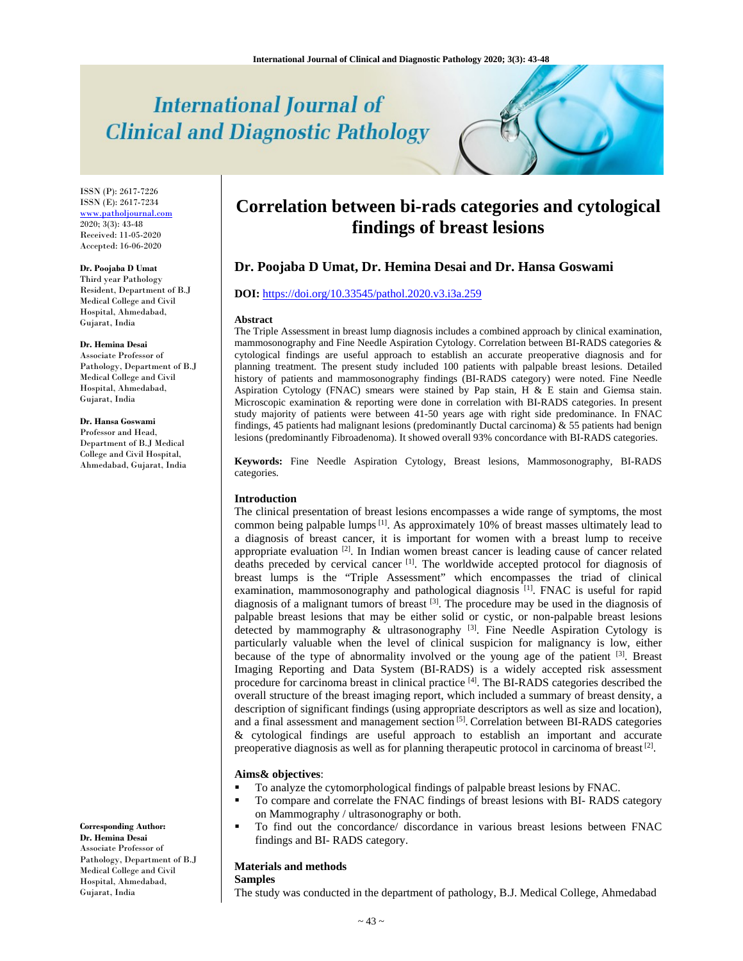# **International Journal of Clinical and Diagnostic Pathology**

ISSN (P): 2617-7226 ISSN (E): 2617-7234 www.patholjournal.com 2020; 3(3): 43-48 Received: 11-05-2020 Accepted: 16-06-2020

### **Dr. Poojaba D Umat**

Third year Pathology Resident, Department of B.J Medical College and Civil Hospital, Ahmedabad, Gujarat, India

### **Dr. Hemina Desai**

Associate Professor of Pathology, Department of B.J Medical College and Civil Hospital, Ahmedabad, Gujarat, India

# **Dr. Hansa Goswami**

Professor and Head, Department of B.J Medical College and Civil Hospital, Ahmedabad, Gujarat, India

**Corresponding Author: Dr. Hemina Desai** Associate Professor of Pathology, Department of B.J Medical College and Civil Hospital, Ahmedabad, Gujarat, India

# **Correlation between bi-rads categories and cytological findings of breast lesions**

# **Dr. Poojaba D Umat, Dr. Hemina Desai and Dr. Hansa Goswami**

# **DOI:** https://doi.org/10.33545/pathol.2020.v3.i3a.259

### **Abstract**

The Triple Assessment in breast lump diagnosis includes a combined approach by clinical examination, mammosonography and Fine Needle Aspiration Cytology. Correlation between BI-RADS categories & cytological findings are useful approach to establish an accurate preoperative diagnosis and for planning treatment. The present study included 100 patients with palpable breast lesions. Detailed history of patients and mammosonography findings (BI-RADS category) were noted. Fine Needle Aspiration Cytology (FNAC) smears were stained by Pap stain, H & E stain and Giemsa stain. Microscopic examination & reporting were done in correlation with BI-RADS categories. In present study majority of patients were between 41-50 years age with right side predominance. In FNAC findings, 45 patients had malignant lesions (predominantly Ductal carcinoma) & 55 patients had benign lesions (predominantly Fibroadenoma). It showed overall 93% concordance with BI-RADS categories.

**Keywords:** Fine Needle Aspiration Cytology, Breast lesions, Mammosonography, BI-RADS categories.

# **Introduction**

The clinical presentation of breast lesions encompasses a wide range of symptoms, the most common being palpable lumps  $\left[1\right]$ . As approximately 10% of breast masses ultimately lead to a diagnosis of breast cancer, it is important for women with a breast lump to receive appropriate evaluation  $[2]$ . In Indian women breast cancer is leading cause of cancer related deaths preceded by cervical cancer  $\left[1\right]$ . The worldwide accepted protocol for diagnosis of breast lumps is the "Triple Assessment" which encompasses the triad of clinical examination, mammosonography and pathological diagnosis [1]. FNAC is useful for rapid diagnosis of a malignant tumors of breast [3]. The procedure may be used in the diagnosis of palpable breast lesions that may be either solid or cystic, or non-palpable breast lesions detected by mammography  $\&$  ultrasonography  $^{[3]}$ . Fine Needle Aspiration Cytology is particularly valuable when the level of clinical suspicion for malignancy is low, either because of the type of abnormality involved or the young age of the patient  $[3]$ . Breast Imaging Reporting and Data System (BI-RADS) is a widely accepted risk assessment procedure for carcinoma breast in clinical practice  $^{[4]}$ . The BI-RADS categories described the overall structure of the breast imaging report, which included a summary of breast density, a description of significant findings (using appropriate descriptors as well as size and location), and a final assessment and management section [5]. Correlation between BI-RADS categories & cytological findings are useful approach to establish an important and accurate preoperative diagnosis as well as for planning therapeutic protocol in carcinoma of breast  $[2]$ .

### **Aims& objectives**:

- To analyze the cytomorphological findings of palpable breast lesions by FNAC.
- To compare and correlate the FNAC findings of breast lesions with BI- RADS category on Mammography / ultrasonography or both.
- To find out the concordance/ discordance in various breast lesions between FNAC findings and BI- RADS category.

### **Materials and methods**

# **Samples**

The study was conducted in the department of pathology, B.J. Medical College, Ahmedabad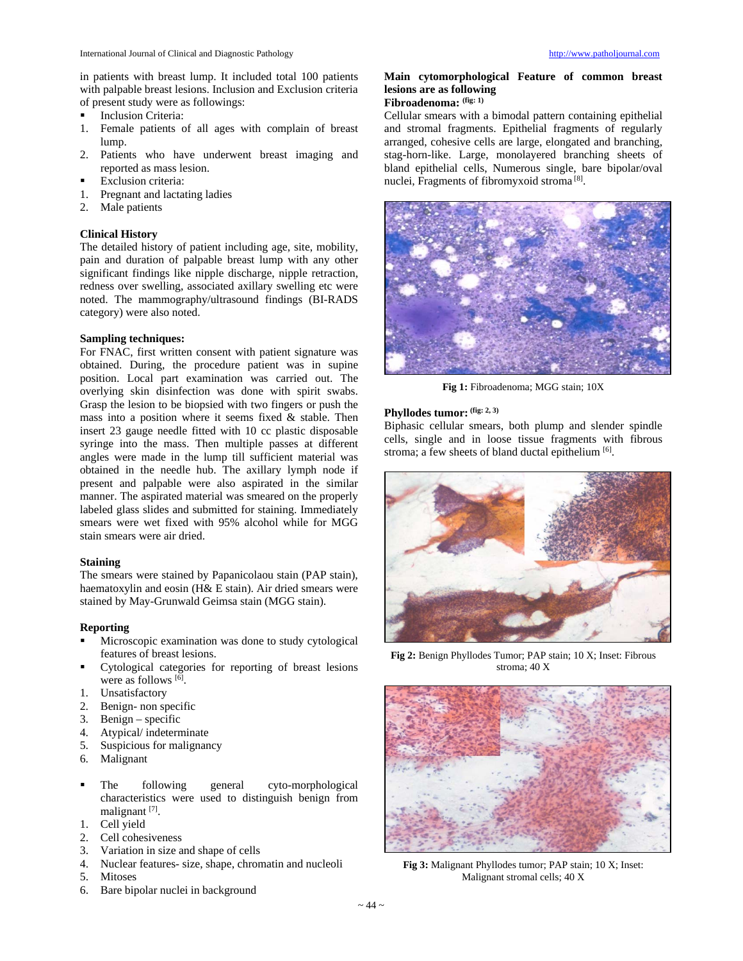in patients with breast lump. It included total 100 patients with palpable breast lesions. Inclusion and Exclusion criteria of present study were as followings:

- Inclusion Criteria:
- 1. Female patients of all ages with complain of breast lump.
- 2. Patients who have underwent breast imaging and reported as mass lesion.
- Exclusion criteria:
- 1. Pregnant and lactating ladies
- 2. Male patients

# **Clinical History**

The detailed history of patient including age, site, mobility, pain and duration of palpable breast lump with any other significant findings like nipple discharge, nipple retraction, redness over swelling, associated axillary swelling etc were noted. The mammography/ultrasound findings (BI-RADS category) were also noted.

# **Sampling techniques:**

For FNAC, first written consent with patient signature was obtained. During, the procedure patient was in supine position. Local part examination was carried out. The overlying skin disinfection was done with spirit swabs. Grasp the lesion to be biopsied with two fingers or push the mass into a position where it seems fixed & stable. Then insert 23 gauge needle fitted with 10 cc plastic disposable syringe into the mass. Then multiple passes at different angles were made in the lump till sufficient material was obtained in the needle hub. The axillary lymph node if present and palpable were also aspirated in the similar manner. The aspirated material was smeared on the properly labeled glass slides and submitted for staining. Immediately smears were wet fixed with 95% alcohol while for MGG stain smears were air dried.

### **Staining**

The smears were stained by Papanicolaou stain (PAP stain), haematoxylin and eosin (H& E stain). Air dried smears were stained by May-Grunwald Geimsa stain (MGG stain).

# **Reporting**

- Microscopic examination was done to study cytological features of breast lesions.
- Cytological categories for reporting of breast lesions were as follows [6].
- 
- 1. Unsatisfactory<br>2. Benign-non sp Benign- non specific
- 3. Benign specific
- 4. Atypical/ indeterminate
- 5. Suspicious for malignancy
- 6. Malignant
- The following general cyto-morphological characteristics were used to distinguish benign from malignant [7].
- 1. Cell yield
- 2. Cell cohesiveness
- 3. Variation in size and shape of cells
- 4. Nuclear features- size, shape, chromatin and nucleoli
- 5. Mitoses
- 6. Bare bipolar nuclei in background

# **Main cytomorphological Feature of common breast lesions are as following**

# **Fibroadenoma: (fig: 1)**

Cellular smears with a bimodal pattern containing epithelial and stromal fragments. Epithelial fragments of regularly arranged, cohesive cells are large, elongated and branching, stag-horn-like. Large, monolayered branching sheets of bland epithelial cells, Numerous single, bare bipolar/oval nuclei, Fragments of fibromyxoid stroma [8].



**Fig 1:** Fibroadenoma; MGG stain; 10X

# **Phyllodes tumor: (fig: 2, 3)**

Biphasic cellular smears, both plump and slender spindle cells, single and in loose tissue fragments with fibrous stroma; a few sheets of bland ductal epithelium [6].



**Fig 2:** Benign Phyllodes Tumor; PAP stain; 10 X; Inset: Fibrous stroma; 40 X



**Fig 3:** Malignant Phyllodes tumor; PAP stain; 10 X; Inset: Malignant stromal cells; 40 X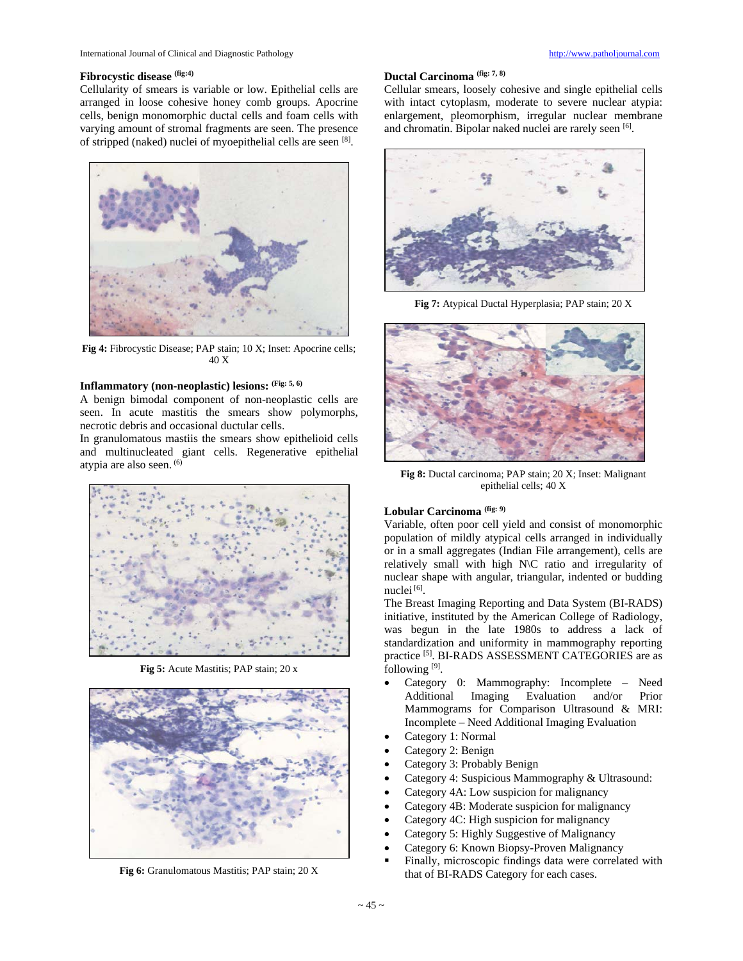# Fibrocystic disease (fig:4)

Cellularity of smears is variable or low. Epithelial cells are arranged in loose cohesive honey comb groups. Apocrine cells, benign monomorphic ductal cells and foam cells with varying amount of stromal fragments are seen. The presence of stripped (naked) nuclei of myoepithelial cells are seen [8].



**Fig 4:** Fibrocystic Disease; PAP stain; 10 X; Inset: Apocrine cells; 40 X

# **Inflammatory (non-neoplastic) lesions: (Fig: 5, 6)**

A benign bimodal component of non-neoplastic cells are seen. In acute mastitis the smears show polymorphs, necrotic debris and occasional ductular cells.

In granulomatous mastiis the smears show epithelioid cells and multinucleated giant cells. Regenerative epithelial atypia are also seen. (6)



**Fig 5:** Acute Mastitis; PAP stain; 20 x



**Fig 6:** Granulomatous Mastitis; PAP stain; 20 X

### **Ductal Carcinoma (fig: 7, 8)**

Cellular smears, loosely cohesive and single epithelial cells with intact cytoplasm, moderate to severe nuclear atypia: enlargement, pleomorphism, irregular nuclear membrane and chromatin. Bipolar naked nuclei are rarely seen [6].



**Fig 7:** Atypical Ductal Hyperplasia; PAP stain; 20 X



**Fig 8:** Ductal carcinoma; PAP stain; 20 X; Inset: Malignant epithelial cells; 40 X

# **Lobular Carcinoma (fig: 9)**

Variable, often poor cell yield and consist of monomorphic population of mildly atypical cells arranged in individually or in a small aggregates (Indian File arrangement), cells are relatively small with high N\C ratio and irregularity of nuclear shape with angular, triangular, indented or budding nuclei [6].

The Breast Imaging Reporting and Data System (BI-RADS) initiative, instituted by the American College of Radiology, was begun in the late 1980s to address a lack of standardization and uniformity in mammography reporting practice [5]. BI-RADS ASSESSMENT CATEGORIES are as following [9].

- Category 0: Mammography: Incomplete Need Imaging Evaluation and/or Prior Mammograms for Comparison Ultrasound & MRI: Incomplete – Need Additional Imaging Evaluation
- Category 1: Normal
- Category 2: Benign
- Category 3: Probably Benign
- Category 4: Suspicious Mammography & Ultrasound:
- Category 4A: Low suspicion for malignancy
- Category 4B: Moderate suspicion for malignancy
- Category 4C: High suspicion for malignancy
- Category 5: Highly Suggestive of Malignancy
- Category 6: Known Biopsy-Proven Malignancy
- Finally, microscopic findings data were correlated with that of BI-RADS Category for each cases.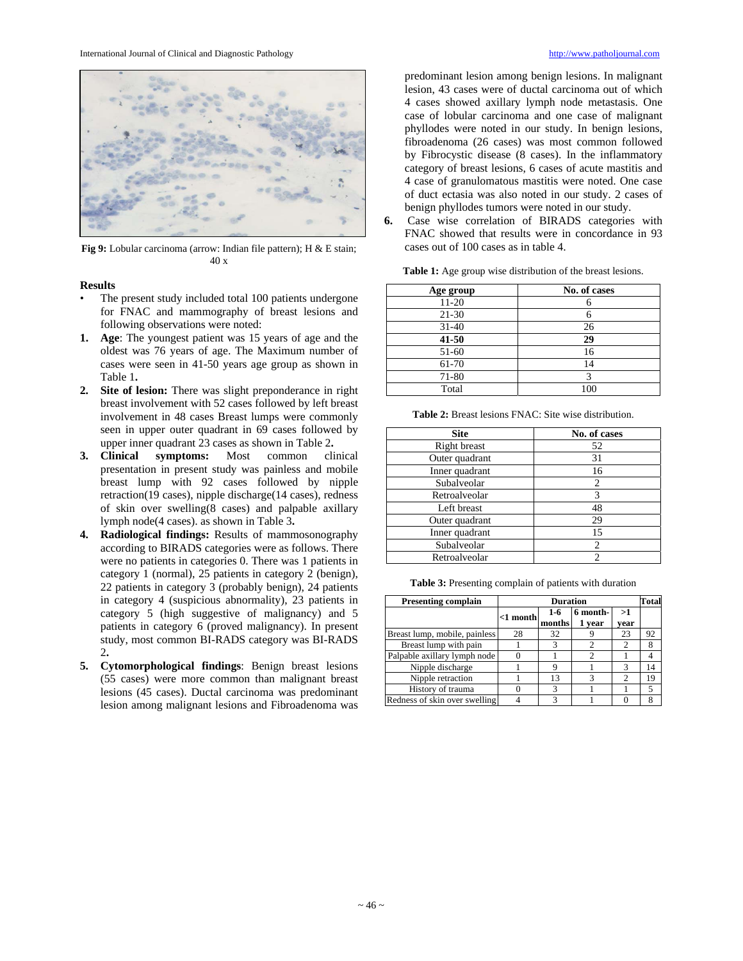

**Fig 9:** Lobular carcinoma (arrow: Indian file pattern); H & E stain; 40 x

### **Results**

- The present study included total 100 patients undergone for FNAC and mammography of breast lesions and following observations were noted:
- **1. Age**: The youngest patient was 15 years of age and the oldest was 76 years of age. The Maximum number of cases were seen in 41-50 years age group as shown in Table 1**.**
- **2. Site of lesion:** There was slight preponderance in right breast involvement with 52 cases followed by left breast involvement in 48 cases Breast lumps were commonly seen in upper outer quadrant in 69 cases followed by upper inner quadrant 23 cases as shown in Table 2**.**
- **3. Clinical symptoms:** Most common clinical presentation in present study was painless and mobile breast lump with 92 cases followed by nipple retraction(19 cases), nipple discharge(14 cases), redness of skin over swelling(8 cases) and palpable axillary lymph node(4 cases). as shown in Table 3**.**
- **4. Radiological findings:** Results of mammosonography according to BIRADS categories were as follows. There were no patients in categories 0. There was 1 patients in category 1 (normal), 25 patients in category 2 (benign), 22 patients in category 3 (probably benign), 24 patients in category 4 (suspicious abnormality), 23 patients in category 5 (high suggestive of malignancy) and 5 patients in category 6 (proved malignancy). In present study, most common BI-RADS category was BI-RADS 2**.**
- **5. Cytomorphological findings**: Benign breast lesions (55 cases) were more common than malignant breast lesions (45 cases). Ductal carcinoma was predominant lesion among malignant lesions and Fibroadenoma was

predominant lesion among benign lesions. In malignant lesion, 43 cases were of ductal carcinoma out of which 4 cases showed axillary lymph node metastasis. One case of lobular carcinoma and one case of malignant phyllodes were noted in our study. In benign lesions, fibroadenoma (26 cases) was most common followed by Fibrocystic disease (8 cases). In the inflammatory category of breast lesions, 6 cases of acute mastitis and 4 case of granulomatous mastitis were noted. One case of duct ectasia was also noted in our study. 2 cases of benign phyllodes tumors were noted in our study.

**6.** Case wise correlation of BIRADS categories with FNAC showed that results were in concordance in 93 cases out of 100 cases as in table 4.

| Age group | No. of cases |
|-----------|--------------|
| $11-20$   |              |
| $21 - 30$ |              |
| $31 - 40$ | 26           |
| 41-50     | 29           |
| 51-60     | 16           |
| 61-70     | 14           |
| 71-80     |              |
| Total     |              |

**Table 1:** Age group wise distribution of the breast lesions.

| <b>Site</b>    | No. of cases |
|----------------|--------------|
| Right breast   | 52           |
| Outer quadrant | 31           |
| Inner quadrant | 16           |
| Subalveolar    |              |
| Retroalveolar  |              |
| Left breast    | 48           |
| Outer quadrant | 29           |
| Inner quadrant | 15           |
| Subalveolar    | 2            |
| Retroalveolar  |              |

**Table 2:** Breast lesions FNAC: Site wise distribution.

**Table 3:** Presenting complain of patients with duration

| <b>Presenting complain</b>    | <b>Duration</b> |                 |                    |               |    |  |  |
|-------------------------------|-----------------|-----------------|--------------------|---------------|----|--|--|
|                               | $<$ 1 month     | $1-6$<br>months | 6 month-<br>1 year | >1<br>vear    |    |  |  |
| Breast lump, mobile, painless | 28              | 32              |                    | 23            | 92 |  |  |
| Breast lump with pain         |                 | 3               |                    |               |    |  |  |
| Palpable axillary lymph node  |                 |                 |                    |               |    |  |  |
| Nipple discharge              |                 | Q               |                    | $\mathcal{R}$ | 14 |  |  |
| Nipple retraction             |                 | 13              |                    | 2             | 19 |  |  |
| History of trauma             |                 | 3               |                    |               | 5  |  |  |
| Redness of skin over swelling |                 |                 |                    |               |    |  |  |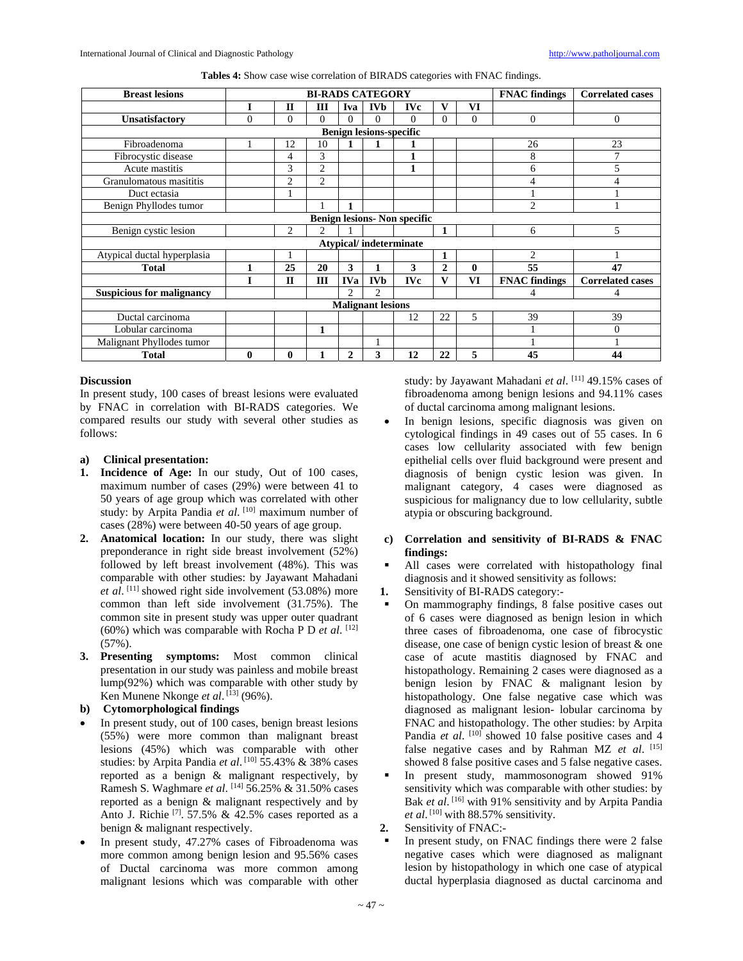| Tables 4: Show case wise correlation of BIRADS categories with FNAC findings. |  |  |  |
|-------------------------------------------------------------------------------|--|--|--|
|                                                                               |  |  |  |

| <b>Breast lesions</b>               | <b>BI-RADS CATEGORY</b> |                |                |               |                |            |              | <b>FNAC</b> findings | <b>Correlated cases</b> |                         |
|-------------------------------------|-------------------------|----------------|----------------|---------------|----------------|------------|--------------|----------------------|-------------------------|-------------------------|
|                                     |                         | $\mathbf{I}$   | Ш              | Iva           | <b>IVb</b>     | <b>IVc</b> | v            | VI                   |                         |                         |
| <b>Unsatisfactory</b>               | $\theta$                | $\Omega$       | 0              | $\Omega$      | $\Omega$       | $\Omega$   | $\Omega$     | $\theta$             | $\mathbf{0}$            | $\overline{0}$          |
| <b>Benign lesions-specific</b>      |                         |                |                |               |                |            |              |                      |                         |                         |
| Fibroadenoma                        |                         | 12             | 10             |               |                |            |              |                      | 26                      | 23                      |
| Fibrocystic disease                 |                         | 4              | 3              |               |                | 1          |              |                      | 8                       |                         |
| Acute mastitis                      |                         | 3              | $\overline{2}$ |               |                | 1          |              |                      | 6                       | 5                       |
| Granulomatous masititis             |                         | $\overline{c}$ | $\overline{c}$ |               |                |            |              |                      | 4                       | 4                       |
| Duct ectasia                        |                         |                |                |               |                |            |              |                      |                         |                         |
| Benign Phyllodes tumor              |                         |                |                |               |                |            |              |                      | $\mathfrak{D}$          |                         |
| <b>Benign lesions- Non specific</b> |                         |                |                |               |                |            |              |                      |                         |                         |
| Benign cystic lesion                |                         | $\overline{c}$ | 2.             |               |                |            |              |                      | 6                       | 5                       |
| <b>Atypical/indeterminate</b>       |                         |                |                |               |                |            |              |                      |                         |                         |
| Atypical ductal hyperplasia         |                         |                |                |               |                |            | 1            |                      | $\overline{c}$          |                         |
| <b>Total</b>                        | 1                       | 25             | 20             | 3             | 1              | 3          | 2            | $\mathbf{0}$         | 55                      | 47                      |
|                                     |                         | $\mathbf{H}$   | $\mathbf{III}$ | <b>IVa</b>    | <b>IVb</b>     | <b>IVc</b> | $\mathbf{V}$ | VI                   | <b>FNAC</b> findings    | <b>Correlated cases</b> |
| <b>Suspicious for malignancy</b>    |                         |                |                | $\mathcal{D}$ | $\overline{c}$ |            |              |                      | 4                       | 4                       |
| <b>Malignant lesions</b>            |                         |                |                |               |                |            |              |                      |                         |                         |
| Ductal carcinoma                    |                         |                |                |               |                | 12         | 22           | 5                    | 39                      | 39                      |
| Lobular carcinoma                   |                         |                | 1              |               |                |            |              |                      |                         | $\Omega$                |
| Malignant Phyllodes tumor           |                         |                |                |               |                |            |              |                      |                         |                         |
| <b>Total</b>                        | 0                       | $\bf{0}$       |                | $\mathbf{2}$  | 3              | 12         | 22           | 5                    | 45                      | 44                      |

# **Discussion**

In present study, 100 cases of breast lesions were evaluated by FNAC in correlation with BI-RADS categories. We compared results our study with several other studies as follows:

# **a) Clinical presentation:**

- **1. Incidence of Age:** In our study, Out of 100 cases, maximum number of cases (29%) were between 41 to 50 years of age group which was correlated with other study: by Arpita Pandia et al.<sup>[10]</sup> maximum number of cases (28%) were between 40-50 years of age group.
- **2. Anatomical location:** In our study, there was slight preponderance in right side breast involvement (52%) followed by left breast involvement (48%). This was comparable with other studies: by Jayawant Mahadani et al.<sup>[11]</sup> showed right side involvement (53.08%) more common than left side involvement (31.75%). The common site in present study was upper outer quadrant (60%) which was comparable with Rocha P D *et al*. [12]  $(57\%)$ .
- **3. Presenting symptoms:** Most common clinical presentation in our study was painless and mobile breast lump(92%) which was comparable with other study by Ken Munene Nkonge *et al*.<sup>[13]</sup> (96%).

# **b) Cytomorphological findings**

- In present study, out of 100 cases, benign breast lesions (55%) were more common than malignant breast lesions (45%) which was comparable with other studies: by Arpita Pandia et al.<sup>[10]</sup> 55.43% & 38% cases reported as a benign & malignant respectively, by Ramesh S. Waghmare *et al*. [14] 56.25% & 31.50% cases reported as a benign & malignant respectively and by Anto J. Richie  $[7]$ . 57.5% & 42.5% cases reported as a benign & malignant respectively.
- In present study, 47.27% cases of Fibroadenoma was more common among benign lesion and 95.56% cases of Ductal carcinoma was more common among malignant lesions which was comparable with other

study: by Jayawant Mahadani *et al*. [11] 49.15% cases of fibroadenoma among benign lesions and 94.11% cases of ductal carcinoma among malignant lesions.

- In benign lesions, specific diagnosis was given on cytological findings in 49 cases out of 55 cases. In 6 cases low cellularity associated with few benign epithelial cells over fluid background were present and diagnosis of benign cystic lesion was given. In malignant category, 4 cases were diagnosed as suspicious for malignancy due to low cellularity, subtle atypia or obscuring background.
- **c) Correlation and sensitivity of BI-RADS & FNAC findings:**
- All cases were correlated with histopathology final diagnosis and it showed sensitivity as follows:
- **1.** Sensitivity of BI-RADS category:-
- On mammography findings, 8 false positive cases out of 6 cases were diagnosed as benign lesion in which three cases of fibroadenoma, one case of fibrocystic disease, one case of benign cystic lesion of breast & one case of acute mastitis diagnosed by FNAC and histopathology. Remaining 2 cases were diagnosed as a benign lesion by FNAC & malignant lesion by histopathology. One false negative case which was diagnosed as malignant lesion- lobular carcinoma by FNAC and histopathology. The other studies: by Arpita Pandia *et al.* <sup>[10]</sup> showed 10 false positive cases and 4 false negative cases and by Rahman MZ et al. [15] showed 8 false positive cases and 5 false negative cases.
- In present study, mammosonogram showed 91% sensitivity which was comparable with other studies: by Bak et al.<sup>[16]</sup> with 91% sensitivity and by Arpita Pandia *et al.*  $[10]$  with 88.57% sensitivity.
- **2.** Sensitivity of FNAC:-
- In present study, on FNAC findings there were 2 false negative cases which were diagnosed as malignant lesion by histopathology in which one case of atypical ductal hyperplasia diagnosed as ductal carcinoma and